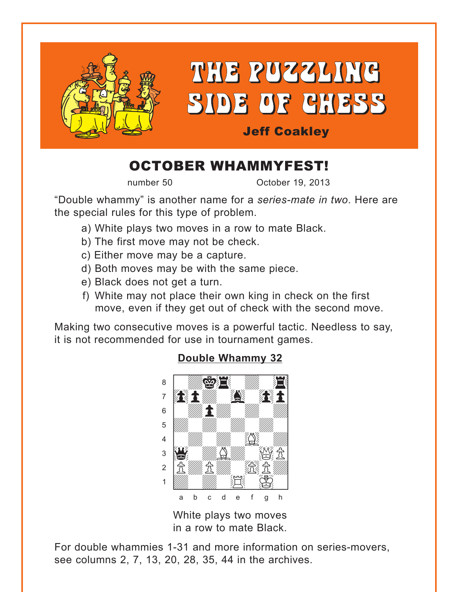<span id="page-0-0"></span>

## OCTOBER WHAMMYFEST!

number 50 Cotober 19, 2013

"Double whammy" is another name for a *series-mate in two*. Here are the special rules for this type of problem.

- a) White plays two moves in a row to mate Black.
- b) The first move may not be check.
- c) Either move may be a capture.
- d) Both moves may be with the same piece.
- e) Black does not get a turn.
- f) White may not place their own king in check on the first move, even if they get out of check with the second move.

Making two consecutive moves is a powerful tactic. Needless to say, it is not recommended for use in tournament games.



## **[Double Whammy 32](#page-4-0)**

White plays two moves in a row to mate Black.

For double whammies 1-31 and more information on series-movers, see columns 2, 7, 13, 20, 28, 35, 44 in the archives.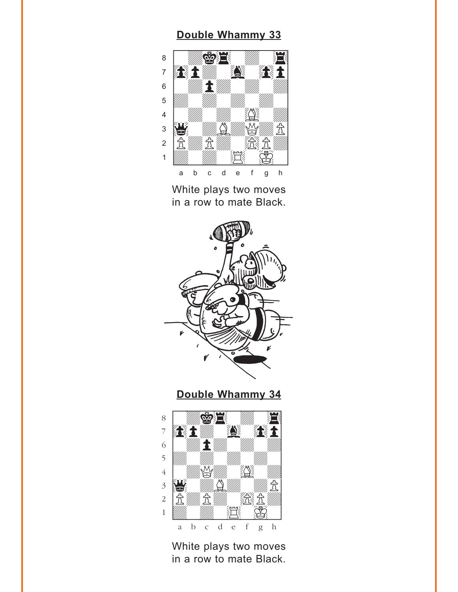#### **[Double Whammy 33](#page-4-0)**

<span id="page-1-0"></span>

White plays two moves in a row to mate Black.



**[Double Whammy 34](#page-5-0)**



White plays two moves in a row to mate Black.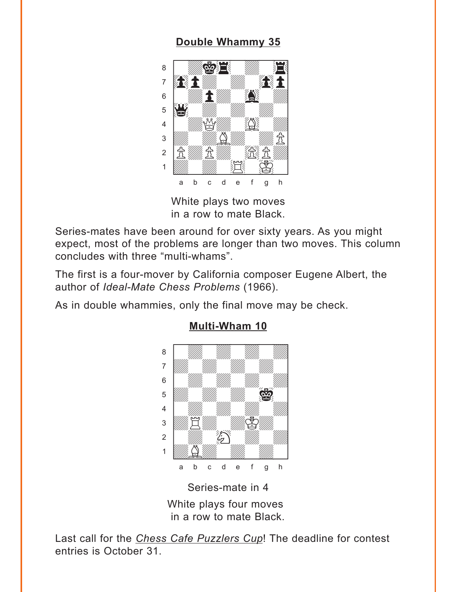### **[Double Whammy 35](#page-5-0)**

<span id="page-2-0"></span>

White plays two moves in a row to mate Black.

Series-mates have been around for over sixty years. As you might expect, most of the problems are longer than two moves. This column concludes with three "multi-whams".

The first is a four-mover by California composer Eugene Albert, the author of *Ideal-Mate Chess Problems* (1966).

As in double whammies, only the final move may be check.



#### **[Multi-Wham 10](#page-6-0)**

Series-mate in 4

White plays four moves in a row to mate Black.

Last call for the *Chess Cafe Puzzlers Cup*! The deadline for contest entries is October 31.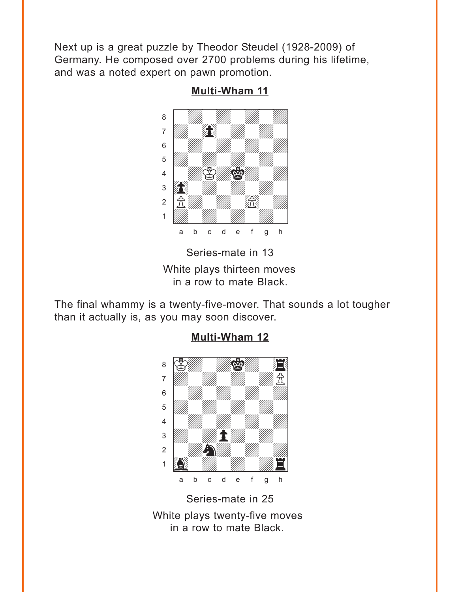<span id="page-3-0"></span>Next up is a great puzzle by Theodor Steudel (1928-2009) of Germany. He composed over 2700 problems during his lifetime, and was a noted expert on pawn promotion.



**[Multi-Wham 11](#page-7-0)**

White plays thirteen moves in a row to mate Black.

The final whammy is a twenty-five-mover. That sounds a lot tougher than it actually is, as you may soon discover.



## **[Multi-Wham 12](#page-8-0)**

Series-mate in 25 White plays twenty-five moves in a row to mate Black.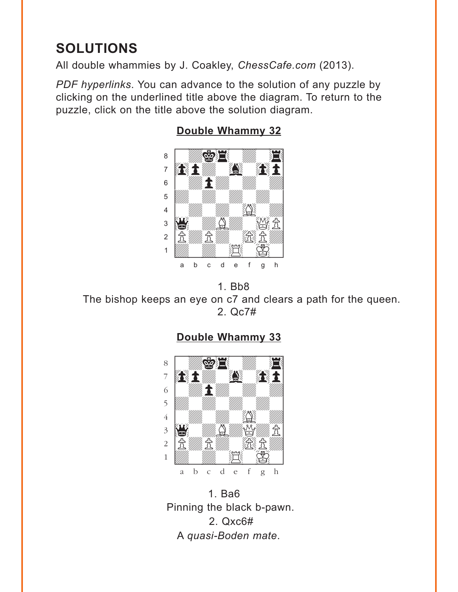# <span id="page-4-0"></span>**SOLUTIONS**

All double whammies by J. Coakley, *ChessCafe.com* (2013).

*PDF hyperlinks*. You can advance to the solution of any puzzle by clicking on the underlined title above the diagram. To return to the puzzle, click on the title above the solution diagram.



#### **[Double Whammy 32](#page-0-0)**

1. Bb8 The bishop keeps an eye on c7 and clears a path for the queen. 2. Qc7#

## **[Double Whammy 33](#page-1-0)**



1. Ba6 Pinning the black b-pawn. 2. Qxc6# A *quasi-Boden mate*.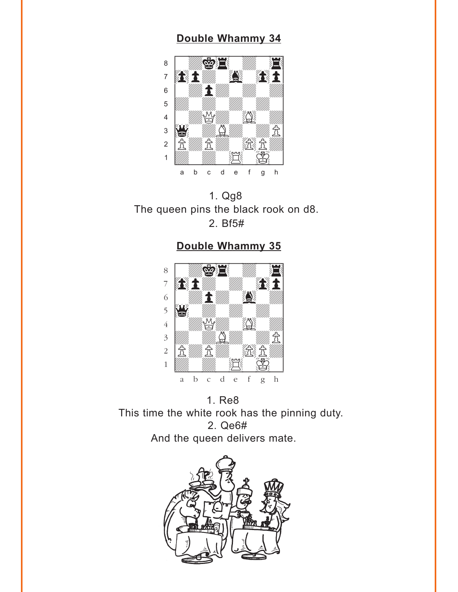#### **[Double Whammy 34](#page-1-0)**

<span id="page-5-0"></span>

1. Qg8 The queen pins the black rook on d8. 2. Bf5#

**[Double Whammy 35](#page-2-0)**



1. Re8 This time the white rook has the pinning duty. 2. Qe6# And the queen delivers mate.

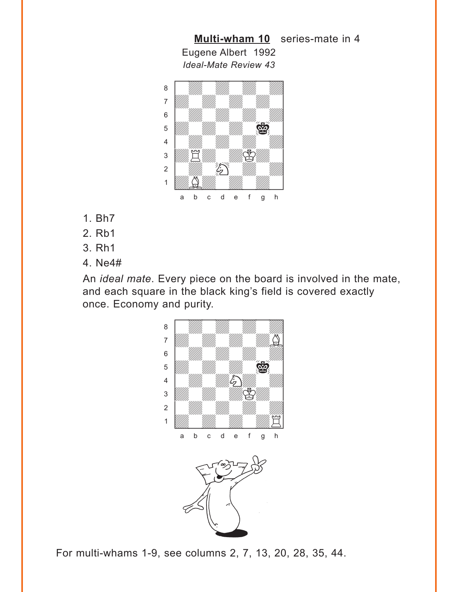<span id="page-6-0"></span>

**[Multi-wham 10](#page-2-0)** series-mate in 4

- 1. Bh7
- 2. Rb1
- 3. Rh1
- 4. Ne4#

An *ideal mate*. Every piece on the board is involved in the mate, and each square in the black king's field is covered exactly once. Economy and purity.



For multi-whams 1-9, see columns 2, 7, 13, 20, 28, 35, 44.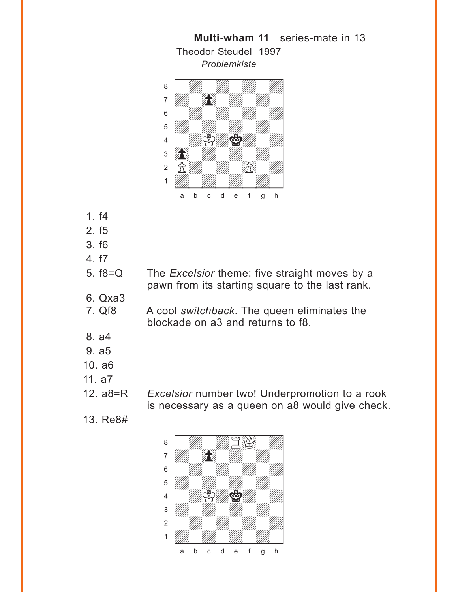<span id="page-7-0"></span>

Theodor Steudel 1997

**[Multi-wham 11](#page-3-0)** series-mate in 13

- 1. f4
- 2. f5
- 3. f6
- 4. f7
- 5. f8=Q The *Excelsior* theme: five straight moves by a pawn from its starting square to the last rank.
- 6. Qxa3
- 7. Qf8 A cool *switchback*. The queen eliminates the blockade on a3 and returns to f8.
- 8. a4
- 9. a5
- 10. a6
- 11. a7
- 

12. a8=R *Excelsior* number two! Underpromotion to a rook is necessary as a queen on a8 would give check.

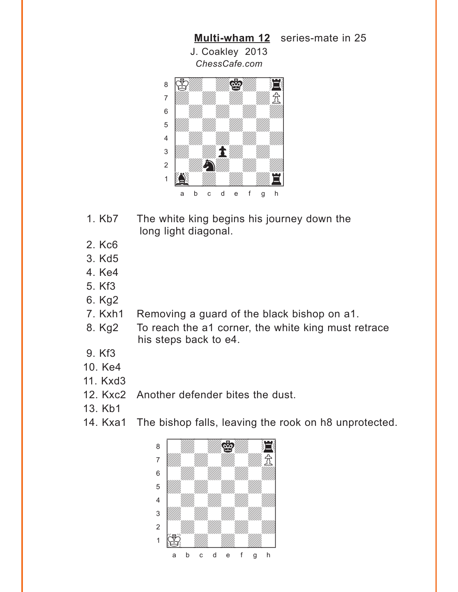<span id="page-8-0"></span>

- 1. Kb7 The white king begins his journey down the long light diagonal.
- 2. Kc6
- 3. Kd5
- 4. Ke4
- 5. Kf3
- 6. Kg2
- 7. Kxh1 Removing a guard of the black bishop on a1.
- 8. Kg2 To reach the a1 corner, the white king must retrace his steps back to e4.
- 9. Kf3
- 10. Ke4
- 11. Kxd3
- 12. Kxc2 Another defender bites the dust.
- 13. Kb1
- 14. Kxa1 The bishop falls, leaving the rook on h8 unprotected.

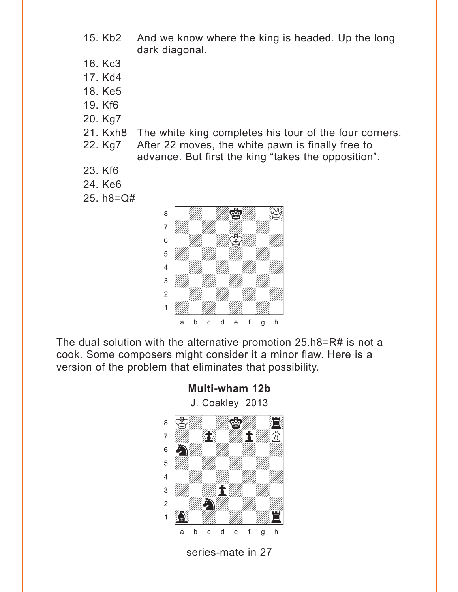- 15. Kb2 And we know where the king is headed. Up the long dark diagonal.
- 16. Kc3
- 17. Kd4
- 18. Ke5
- 19. Kf6
- 20. Kg7
- 21. Kxh8 The white king completes his tour of the four corners. 22. Kg7 After 22 moves, the white pawn is finally free to
	- advance. But first the king "takes the opposition".
- 23. Kf6
- 24. Ke6
- 25. h8=Q#



The dual solution with the alternative promotion 25.h8=R# is not a cook. Some composers might consider it a minor flaw. Here is a version of the problem that eliminates that possibility.